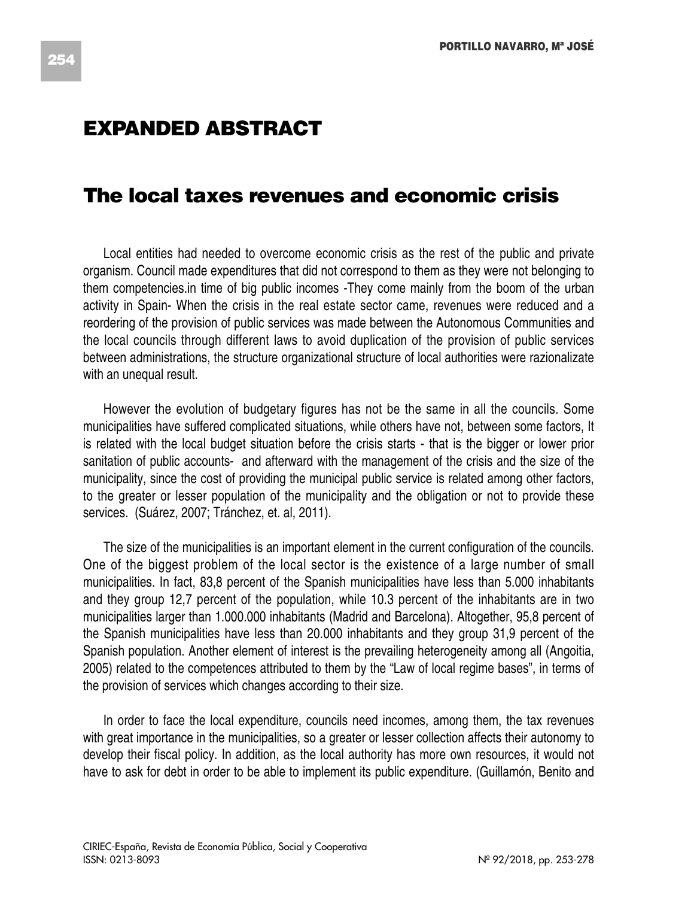## **EXPANDED ABSTRACT**

## **The local taxes revenues and economic crisis**

Local entities had needed to overcome economic crisis as the rest of the public and private organism. Council made expenditures that did not correspond to them as they were not belonging to them competencies.in time of big public incomes -They come mainly from the boom of the urban activity in Spain- When the crisis in the real estate sector came, revenues were reduced and a reordering of the provision of public services was made between the Autonomous Communities and the local councils through different laws to avoid duplication of the provision of public services between administrations, the structure organizational structure of local authorities were razionalizate with an unequal result.

However the evolution of budgetary figures has not be the same in all the councils. Some municipalities have suffered complicated situations, while others have not, between some factors, It is related with the local budget situation before the crisis starts - that is the bigger or lower prior sanitation of public accounts- and afterward with the management of the crisis and the size of the municipality, since the cost of providing the municipal public service is related among other factors, to the greater or lesser population of the municipality and the obligation or not to provide these services. (Suárez, 2007; Tránchez, et. al, 2011).

The size of the municipalities is an important element in the current configuration of the councils. One of the biggest problem of the local sector is the existence of a large number of small municipalities. In fact, 83,8 percent of the Spanish municipalities have less than 5.000 inhabitants and they group 12,7 percent of the population, while 10.3 percent of the inhabitants are in two municipalities larger than 1.000.000 inhabitants (Madrid and Barcelona). Altogether, 95,8 percent of the Spanish municipalities have less than 20.000 inhabitants and they group 31,9 percent of the Spanish population. Another element of interest is the prevailing heterogeneity among all (Angoitia, 2005) related to the competences attributed to them by the "Law of local regime bases", in terms of the provision of services which changes according to their size.

In order to face the local expenditure, councils need incomes, among them, the tax revenues with great importance in the municipalities, so a greater or lesser collection affects their autonomy to develop their fiscal policy. In addition, as the local authority has more own resources, it would not have to ask for debt in order to be able to implement its public expenditure. (Guillamón, Benito and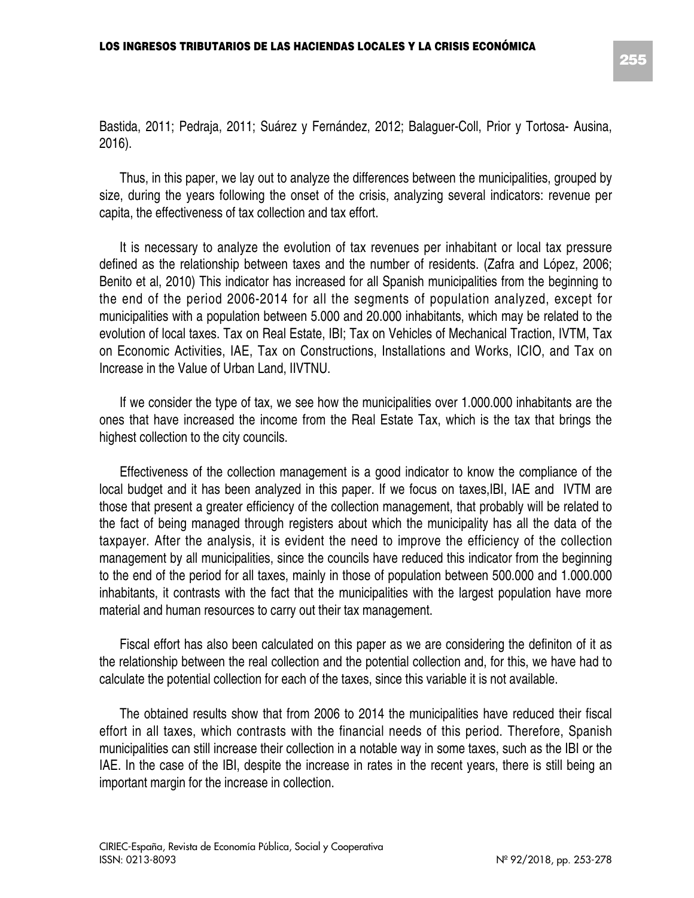Bastida, 2011; Pedraja, 2011; Suárez y Fernández, 2012; Balaguer-Coll, Prior y Tortosa- Ausina, 2016).

Thus, in this paper, we lay out to analyze the differences between the municipalities, grouped by size, during the years following the onset of the crisis, analyzing several indicators: revenue per capita, the effectiveness of tax collection and tax effort.

It is necessary to analyze the evolution of tax revenues per inhabitant or local tax pressure defined as the relationship between taxes and the number of residents. (Zafra and López, 2006; Benito et al, 2010) This indicator has increased for all Spanish municipalities from the beginning to the end of the period 2006-2014 for all the segments of population analyzed, except for municipalities with a population between 5.000 and 20.000 inhabitants, which may be related to the evolution of local taxes. Tax on Real Estate, IBI; Tax on Vehicles of Mechanical Traction, IVTM, Tax on Economic Activities, IAE, Tax on Constructions, Installations and Works, ICIO, and Tax on Increase in the Value of Urban Land, IIVTNU.

If we consider the type of tax, we see how the municipalities over 1.000.000 inhabitants are the ones that have increased the income from the Real Estate Tax, which is the tax that brings the highest collection to the city councils.

Effectiveness of the collection management is a good indicator to know the compliance of the local budget and it has been analyzed in this paper. If we focus on taxes,IBI, IAE and IVTM are those that present a greater efficiency of the collection management, that probably will be related to the fact of being managed through registers about which the municipality has all the data of the taxpayer. After the analysis, it is evident the need to improve the efficiency of the collection management by all municipalities, since the councils have reduced this indicator from the beginning to the end of the period for all taxes, mainly in those of population between 500.000 and 1.000.000 inhabitants, it contrasts with the fact that the municipalities with the largest population have more material and human resources to carry out their tax management.

Fiscal effort has also been calculated on this paper as we are considering the definiton of it as the relationship between the real collection and the potential collection and, for this, we have had to calculate the potential collection for each of the taxes, since this variable it is not available.

The obtained results show that from 2006 to 2014 the municipalities have reduced their fiscal effort in all taxes, which contrasts with the financial needs of this period. Therefore, Spanish municipalities can still increase their collection in a notable way in some taxes, such as the IBI or the IAE. In the case of the IBI, despite the increase in rates in the recent years, there is still being an important margin for the increase in collection.